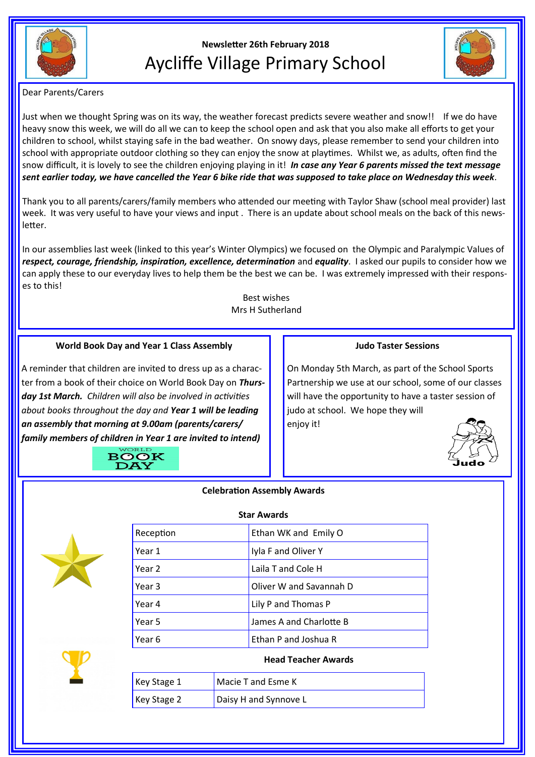

# **Newsletter 26th February 2018** Aycliffe Village Primary School



Dear Parents/Carers

Just when we thought Spring was on its way, the weather forecast predicts severe weather and snow!! If we do have heavy snow this week, we will do all we can to keep the school open and ask that you also make all efforts to get your children to school, whilst staying safe in the bad weather. On snowy days, please remember to send your children into school with appropriate outdoor clothing so they can enjoy the snow at playtimes. Whilst we, as adults, often find the snow difficult, it is lovely to see the children enjoying playing in it! *In case any Year 6 parents missed the text message sent earlier today, we have cancelled the Year 6 bike ride that was supposed to take place on Wednesday this week.*

Thank you to all parents/carers/family members who attended our meeting with Taylor Shaw (school meal provider) last week. It was very useful to have your views and input . There is an update about school meals on the back of this newsletter.

In our assemblies last week (linked to this year's Winter Olympics) we focused on the Olympic and Paralympic Values of *respect, courage, friendship, inspiration, excellence, determination* and *equality*. I asked our pupils to consider how we can apply these to our everyday lives to help them be the best we can be. I was extremely impressed with their responses to this!

> Best wishes Mrs H Sutherland

# **World Book Day and Year 1 Class Assembly**

A reminder that children are invited to dress up as a character from a book of their choice on World Book Day on *Thursday 1st March. Children will also be involved in activities about books throughout the day and Year 1 will be leading an assembly that morning at 9.00am (parents/carers/ family members of children in Year 1 are invited to intend)*

## **Judo Taster Sessions**

On Monday 5th March, as part of the School Sports Partnership we use at our school, some of our classes will have the opportunity to have a taster session of judo at school. We hope they will enjoy it!





## **Celebration Assembly Awards**



| <b>Star Awards</b> |                         |  |
|--------------------|-------------------------|--|
| Reception          | Ethan WK and Emily O    |  |
| Year 1             | Iyla F and Oliver Y     |  |
| Year 2             | Laila T and Cole H      |  |
| Year 3             | Oliver W and Savannah D |  |
| Year 4             | Lily P and Thomas P     |  |
| Year 5             | James A and Charlotte B |  |
| Year 6             | Ethan P and Joshua R    |  |
|                    |                         |  |

## **Head Teacher Awards**

| Key Stage 1 | Macie T and Esme K    |
|-------------|-----------------------|
| Key Stage 2 | Daisy H and Synnove L |